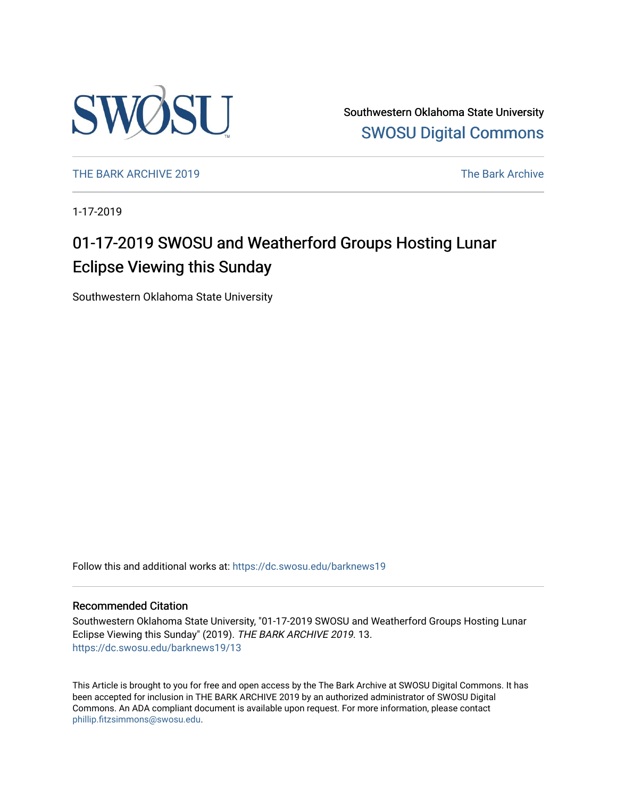

Southwestern Oklahoma State University [SWOSU Digital Commons](https://dc.swosu.edu/) 

[THE BARK ARCHIVE 2019](https://dc.swosu.edu/barknews19) The Bark Archive

1-17-2019

## 01-17-2019 SWOSU and Weatherford Groups Hosting Lunar Eclipse Viewing this Sunday

Southwestern Oklahoma State University

Follow this and additional works at: [https://dc.swosu.edu/barknews19](https://dc.swosu.edu/barknews19?utm_source=dc.swosu.edu%2Fbarknews19%2F13&utm_medium=PDF&utm_campaign=PDFCoverPages)

### Recommended Citation

Southwestern Oklahoma State University, "01-17-2019 SWOSU and Weatherford Groups Hosting Lunar Eclipse Viewing this Sunday" (2019). THE BARK ARCHIVE 2019. 13. [https://dc.swosu.edu/barknews19/13](https://dc.swosu.edu/barknews19/13?utm_source=dc.swosu.edu%2Fbarknews19%2F13&utm_medium=PDF&utm_campaign=PDFCoverPages) 

This Article is brought to you for free and open access by the The Bark Archive at SWOSU Digital Commons. It has been accepted for inclusion in THE BARK ARCHIVE 2019 by an authorized administrator of SWOSU Digital Commons. An ADA compliant document is available upon request. For more information, please contact [phillip.fitzsimmons@swosu.edu](mailto:phillip.fitzsimmons@swosu.edu).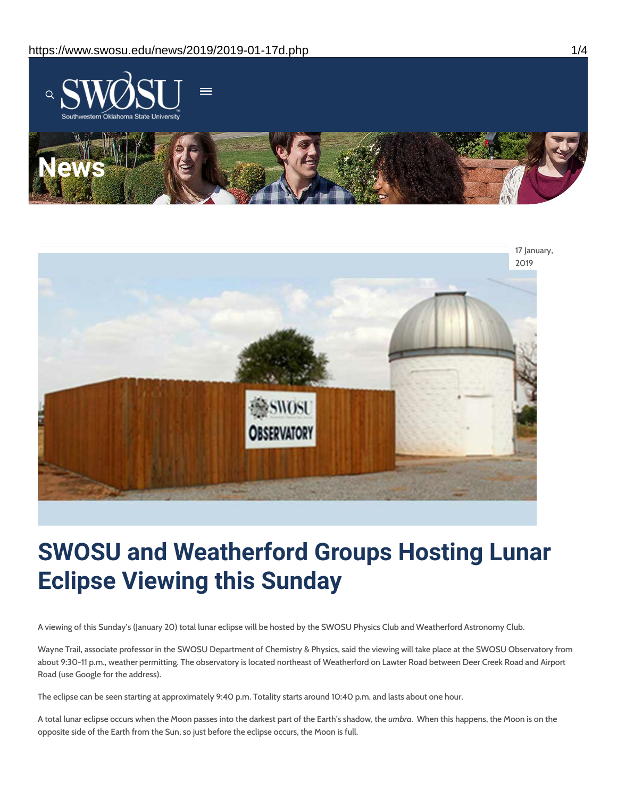



# **SWOSU and Weatherford Groups Hosting Lunar Eclipse Viewing this Sunday**

A viewing of this Sunday's (January 20) total lunar eclipse will be hosted by the SWOSU Physics Club and Weatherford Astronomy Club.

Wayne Trail, associate professor in the SWOSU Department of Chemistry & Physics, said the viewing will take place at the SWOSU Observatory from about 9:30-11 p.m., weather permitting. The observatory is located northeast of Weatherford on Lawter Road between Deer Creek Road and Airport Road (use Google for the address).

The eclipse can be seen starting at approximately 9:40 p.m. Totality starts around 10:40 p.m. and lasts about one hour.

A total lunar eclipse occurs when the Moon passes into the darkest part of the Earth's shadow, the *umbra*. When this happens, the Moon is on the opposite side of the Earth from the Sun, so just before the eclipse occurs, the Moon is full.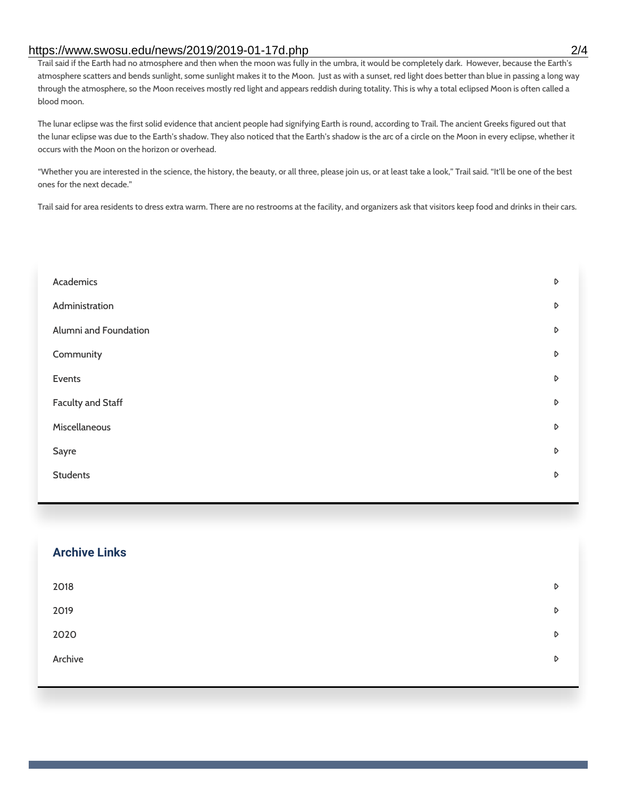### https://www.swosu.edu/news/2019/2019-01-17d.php 2/4

Trail said if the Earth had no atmosphere and then when the moon was fully in the umbra, it would be completely dark. However, because the Earth's atmosphere scatters and bends sunlight, some sunlight makes it to the Moon. Just as with a sunset, red light does better than blue in passing a long way through the atmosphere, so the Moon receives mostly red light and appears reddish during totality. This is why a total eclipsed Moon is often called a blood moon.

The lunar eclipse was the first solid evidence that ancient people had signifying Earth is round, according to Trail. The ancient Greeks figured out that the lunar eclipse was due to the Earth's shadow. They also noticed that the Earth's shadow is the arc of a circle on the Moon in every eclipse, whether it occurs with the Moon on the horizon or overhead.

"Whether you are interested in the science, the history, the beauty, or all three, please join us, or at least take a look," Trail said. "It'll be one of the best ones for the next decade."

Trail said for area residents to dress extra warm. There are no restrooms at the facility, and organizers ask that visitors keep food and drinks in their cars.

| Academics             | D |
|-----------------------|---|
| Administration        | D |
| Alumni and Foundation | D |
| Community             | D |
| Events                | D |
| Faculty and Staff     | D |
| Miscellaneous         | D |
| Sayre                 | D |
| <b>Students</b>       | D |
|                       |   |

| <b>Archive Links</b> |   |
|----------------------|---|
| 2018                 | D |
| 2019                 | D |
| 2020                 | D |
| Archive              | D |
|                      |   |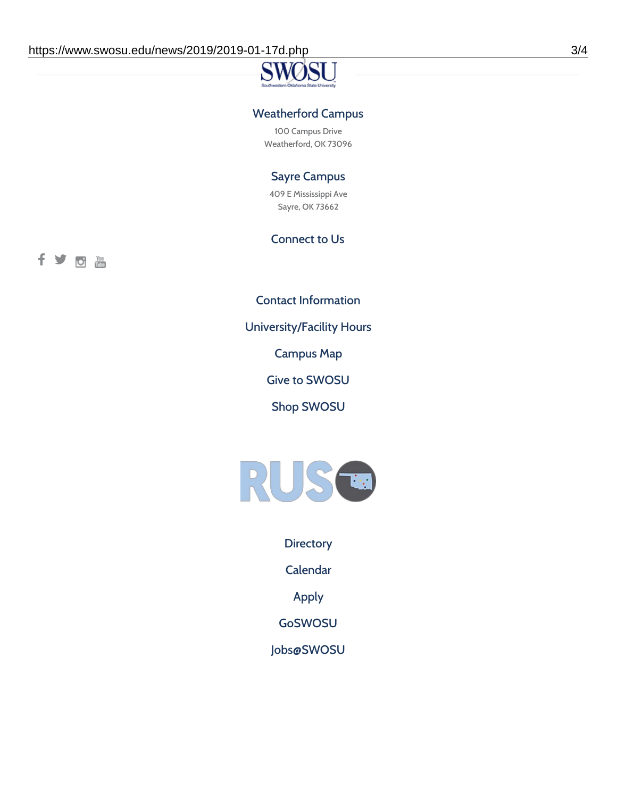### Weatherford Campus

100 Campus Drive Weatherford, OK 73096

### Sayre Campus

409 E Mississippi Ave Sayre, OK 73662

### Connect to Us

fyoth

Contact [Information](https://www.swosu.edu/about/contact.php)

[University/Facility](https://www.swosu.edu/about/operating-hours.php) Hours

[Campus](https://map.concept3d.com/?id=768#!ct/10964,10214,10213,10212,10205,10204,10203,10202,10136,10129,10128,0,31226,10130,10201,10641,0) Map

Give to [SWOSU](https://standingfirmly.com/donate)

Shop [SWOSU](https://shopswosu.merchorders.com/)



**[Directory](https://www.swosu.edu/directory/index.php)** 

[Calendar](https://eventpublisher.dudesolutions.com/swosu/)

[Apply](https://www.swosu.edu/admissions/apply-to-swosu.php)

[GoSWOSU](https://qlsso.quicklaunchsso.com/home/1267)

[Jobs@SWOSU](https://swosu.csod.com/ux/ats/careersite/1/home?c=swosu)